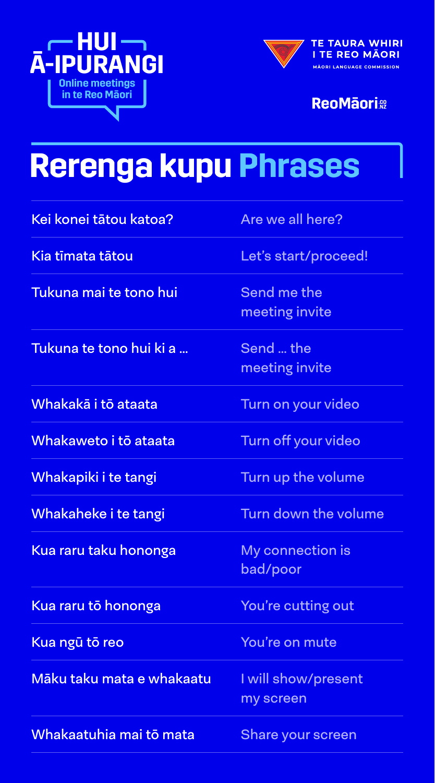



**ReoMāori**®

## **Rerenga kupu Phrases**

| Kei konei tātou katoa?           | Are we all here?                    |
|----------------------------------|-------------------------------------|
| Kia tīmata tātou                 | Let's start/proceed!                |
| Tukuna mai te tono hui           | Send me the<br>meeting invite       |
| <u>Tukuna te tono hui ki a </u>  | Send  the<br>meeting invite         |
| Whakakā i tō ataata              | Turn on your video                  |
| Whakaweto i tō ataata            | Turn off your video                 |
| Whakapiki i te tangi             | Turn up the volume                  |
| Whakaheke i te tangi             | Turn down the volume                |
| <u>Kua raru taku hononga</u>     | <b>My connection is</b><br>bad/poor |
| <u>Kua raru tō hononga</u>       | You're cutting out                  |
| Kua ngū tō reo                   | You're on mute                      |
| <u>Māku taku mata e whakaatu</u> | I will show/present<br>my screen    |
| Whakaatuhia mai tō mata          | <b>Share your screen</b>            |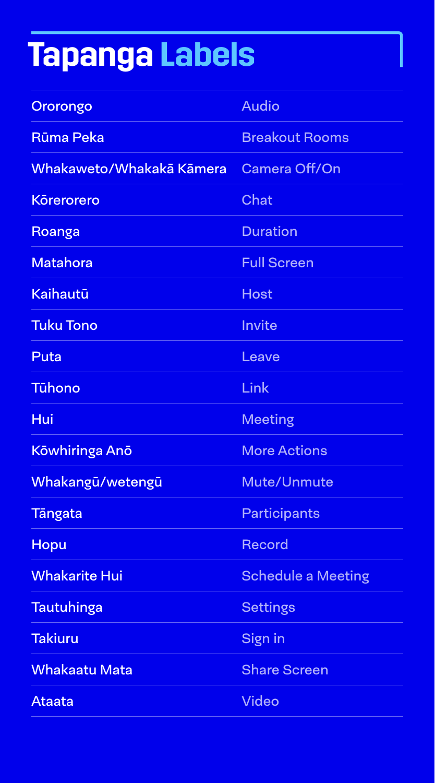## **Tapanga Labels**

| Ororongo                 | <b>Audio</b>              |
|--------------------------|---------------------------|
| <b>Rūma Peka</b>         | <b>Breakout Rooms</b>     |
| Whakaweto/Whakakā Kāmera | <b>Camera Off/On</b>      |
| <b>Körerorero</b>        | <b>Chat</b>               |
| Roanga                   | <b>Duration</b>           |
| <b>Matahora</b>          | <b>Full Screen</b>        |
| <b>Kaihautū</b>          | <b>Host</b>               |
| <b>Tuku Tono</b>         | <b>Invite</b>             |
| Puta                     | Leave                     |
| <b>Tühono</b>            | Link                      |
| Hui                      | <b>Meeting</b>            |
| Kōwhiringa Anō           | <b>More Actions</b>       |
| Whakangū/wetengū         | <b>Mute/Unmute</b>        |
| <b>Tangata</b>           |                           |
|                          | <b>Participants</b>       |
| <b>Hopu</b>              | <b>Record</b>             |
| <b>Whakarite Hui</b>     | <b>Schedule a Meeting</b> |
| <b>Tautuhinga</b>        | <b>Settings</b>           |
| <b>Takiuru</b>           | <b>Sign in</b>            |
| <b>Whakaatu Mata</b>     | <b>Share Screen</b>       |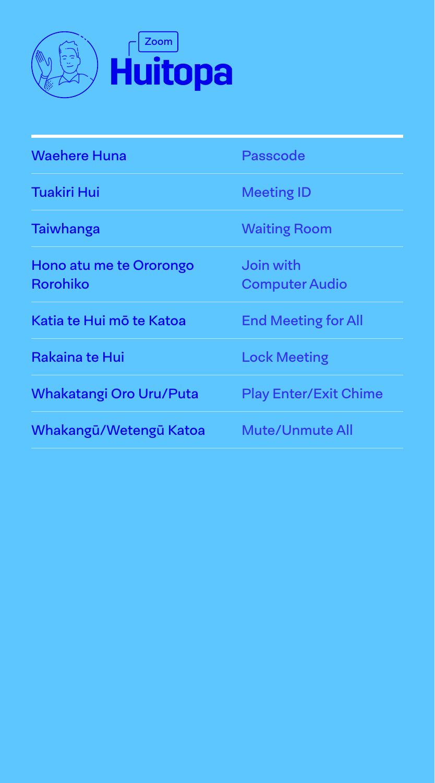

| <b>Waehere Huna</b>                        | Passcode                           |
|--------------------------------------------|------------------------------------|
| <b>Tuakiri Hui</b>                         | <b>Meeting ID</b>                  |
| Taiwhanga                                  | <b>Waiting Room</b>                |
| Hono atu me te Ororongo<br><b>Rorohiko</b> | Join with<br><b>Computer Audio</b> |
| Katia te Hui mõ te Katoa                   | <b>End Meeting for All</b>         |
| Rakaina te Hui                             | <b>Lock Meeting</b>                |
| Whakatangi Oro Uru/Puta                    | <b>Play Enter/Exit Chime</b>       |
| Whakangū/Wetengū Katoa                     | <b>Mute/Unmute All</b>             |